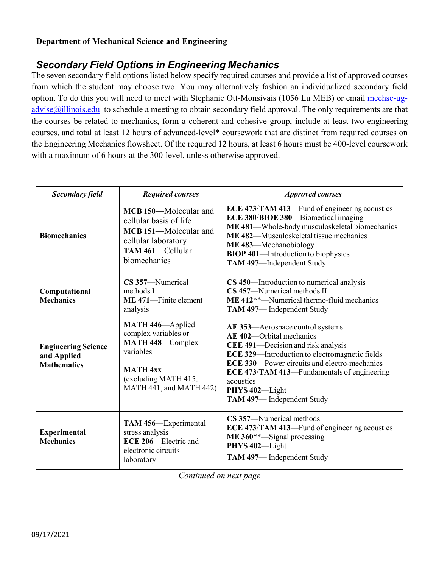## **Department of Mechanical Science and Engineering**

## *Secondary Field Options in Engineering Mechanics*

The seven secondary field options listed below specify required courses and provide a list of approved courses from which the student may choose two. You may alternatively fashion an individualized secondary field option. To do this you will need to meet with Stephanie Ott-Monsivais (1056 Lu MEB) or email [mechse-ug-](mailto:mechse-ug-advise@illinois.edu) $\frac{advise(a)$ illinois.edu to schedule a meeting to obtain secondary field approval. The only requirements are that the courses be related to mechanics, form a coherent and cohesive group, include at least two engineering courses, and total at least 12 hours of advanced-level\* coursework that are distinct from required courses on the Engineering Mechanics flowsheet. Of the required 12 hours, at least 6 hours must be 400-level coursework with a maximum of 6 hours at the 300-level, unless otherwise approved.

| <b>Secondary field</b>                                          | <b>Required courses</b>                                                                                                                         | <b>Approved courses</b>                                                                                                                                                                                                                                                                                                  |
|-----------------------------------------------------------------|-------------------------------------------------------------------------------------------------------------------------------------------------|--------------------------------------------------------------------------------------------------------------------------------------------------------------------------------------------------------------------------------------------------------------------------------------------------------------------------|
| <b>Biomechanics</b>                                             | MCB 150—Molecular and<br>cellular basis of life<br>MCB 151-Molecular and<br>cellular laboratory<br>TAM 461-Cellular<br>biomechanics             | ECE 473/TAM 413—Fund of engineering acoustics<br>ECE 380/BIOE 380—Biomedical imaging<br>ME 481-Whole-body musculoskeletal biomechanics<br>ME 482—Musculoskeletal tissue mechanics<br>ME 483-Mechanobiology<br><b>BIOP 401—Introduction to biophysics</b><br>TAM 497-Independent Study                                    |
| Computational<br><b>Mechanics</b>                               | CS 357-Numerical<br>methods I<br>ME 471-Finite element<br>analysis                                                                              | CS 450—Introduction to numerical analysis<br>CS 457-Numerical methods II<br>$ME$ 412**—Numerical thermo-fluid mechanics<br>TAM 497-Independent Study                                                                                                                                                                     |
| <b>Engineering Science</b><br>and Applied<br><b>Mathematics</b> | MATH 446-Applied<br>complex variables or<br>MATH 448-Complex<br>variables<br><b>MATH 4xx</b><br>(excluding MATH 415,<br>MATH 441, and MATH 442) | AE 353—Aerospace control systems<br>AE 402-Orbital mechanics<br>CEE 491-Decision and risk analysis<br>ECE 329-Introduction to electromagnetic fields<br><b>ECE 330</b> – Power circuits and electro-mechanics<br>ECE 473/TAM 413—Fundamentals of engineering<br>acoustics<br>PHYS 402-Light<br>TAM 497-Independent Study |
| <b>Experimental</b><br><b>Mechanics</b>                         | TAM 456-Experimental<br>stress analysis<br>ECE 206-Electric and<br>electronic circuits<br>laboratory                                            | CS 357—Numerical methods<br>ECE 473/TAM 413—Fund of engineering acoustics<br>$ME 360**$ -Signal processing<br>PHYS 402-Light<br>TAM 497-Independent Study                                                                                                                                                                |

*Continued on next page*